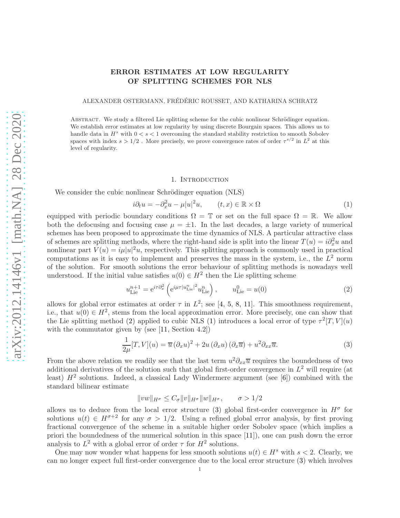# ERROR ESTIMATES AT LOW REGULARITY OF SPLITTING SCHEMES FOR NLS

ALEXANDER OSTERMANN, FRÉDÉRIC ROUSSET, AND KATHARINA SCHRATZ

ABSTRACT. We study a filtered Lie splitting scheme for the cubic nonlinear Schrödinger equation. We establish error estimates at low regularity by using discrete Bourgain spaces. This allows us to handle data in  $H^s$  with  $0 < s < 1$  overcoming the standard stability restriction to smooth Sobolev spaces with index  $s > 1/2$ . More precisely, we prove convergence rates of order  $\tau^{s/2}$  in  $L^2$  at this level of regularity.

### 1. INTRODUCTION

We consider the cubic nonlinear Schrödinger equation (NLS)

<span id="page-0-1"></span>
$$
i\partial_t u = -\partial_x^2 u - \mu |u|^2 u, \qquad (t, x) \in \mathbb{R} \times \Omega \tag{1}
$$

equipped with periodic boundary conditions  $\Omega = \mathbb{T}$  or set on the full space  $\Omega = \mathbb{R}$ . We allow both the defocusing and focusing case  $\mu = \pm 1$ . In the last decades, a large variety of numerical schemes has been proposed to approximate the time dynamics of NLS. A particular attractive class of schemes are splitting methods, where the right-hand side is split into the linear  $T(u) = i\partial_x^2 u$  and nonlinear part  $V(u) = i\mu |u|^2 u$ , respectively. This splitting approach is commonly used in practical computations as it is easy to implement and preserves the mass in the system, i.e., the  $L^2$  norm of the solution. For smooth solutions the error behaviour of splitting methods is nowadays well understood. If the initial value satisfies  $u(0) \in H^2$  then the Lie splitting scheme

<span id="page-0-0"></span>
$$
u_{\text{Lie}}^{n+1} = e^{i\tau \partial_x^2} \left( e^{i\mu \tau |u_{\text{Lie}}^n|^2} u_{\text{Lie}}^n \right), \qquad u_{\text{Lie}}^0 = u(0) \tag{2}
$$

allows for global error estimates at order  $\tau$  in  $L^2$ ; see [\[4,](#page-11-0) [5,](#page-11-1) [8,](#page-11-2) [11\]](#page-11-3). This smoothness requirement, i.e., that  $u(0) \in H^2$ , stems from the local approximation error. More precisely, one can show that the Lie splitting method [\(2\)](#page-0-0) applied to cubic NLS [\(1\)](#page-0-1) introduces a local error of type  $\tau^2[T, V](u)$ with the commutator given by (see [\[11,](#page-11-3) Section 4.2])

<span id="page-0-2"></span>
$$
\frac{1}{2\mu}[T,V](u) = \overline{u}(\partial_x u)^2 + 2u(\partial_x u)(\partial_x \overline{u}) + u^2 \partial_{xx} \overline{u}.
$$
\n(3)

From the above relation we readily see that the last term  $u^2 \partial_{xx} \overline{u}$  requires the boundedness of two additional derivatives of the solution such that global first-order convergence in  $L^2$  will require (at least)  $H^2$  solutions. Indeed, a classical Lady Windermere argument (see [\[6\]](#page-11-4)) combined with the standard bilinear estimate

$$
||vw||_{H^{\sigma}} \le C_{\sigma} ||v||_{H^{\sigma}} ||w||_{H^{\sigma}}, \qquad \sigma > 1/2
$$

allows us to deduce from the local error structure [\(3\)](#page-0-2) global first-order convergence in  $H^{\sigma}$  for solutions  $u(t) \in H^{\sigma+2}$  for any  $\sigma > 1/2$ . Using a refined global error analysis, by first proving fractional convergence of the scheme in a suitable higher order Sobolev space (which implies a priori the boundedness of the numerical solution in this space [\[11\]](#page-11-3)), one can push down the error analysis to  $L^2$  with a global error of order  $\tau$  for  $H^2$  solutions.

One may now wonder what happens for less smooth solutions  $u(t) \in H^s$  with  $s < 2$ . Clearly, we can no longer expect full first-order convergence due to the local error structure [\(3\)](#page-0-2) which involves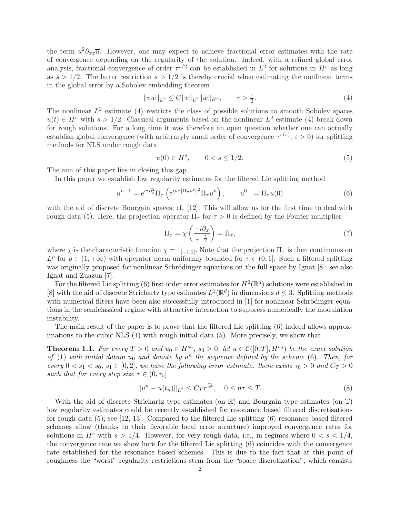the term  $u^2 \partial_{xx} \overline{u}$ . However, one may expect to achieve fractional error estimates with the rate of convergence depending on the regularity of the solution. Indeed, with a refined global error analysis, fractional convergence of order  $\tau^{s/2}$  can be established in  $L^2$  for solutions in  $H^s$  as long as  $s > 1/2$ . The latter restriction  $s > 1/2$  is thereby crucial when estimating the nonlinear terms in the global error by a Sobolev embedding theorem

<span id="page-1-0"></span>
$$
||vw||_{L^{2}} \leq C||v||_{L^{2}}||w||_{H^{r}}, \qquad r > \frac{1}{2}.
$$
\n<sup>(4)</sup>

The nonlinear  $L^2$  estimate [\(4\)](#page-1-0) restricts the class of possible solutions to smooth Sobolev spaces  $u(t) \in H^s$  with  $s > 1/2$ . Classical arguments based on the nonlinear  $L^2$  estimate [\(4\)](#page-1-0) break down for rough solutions. For a long time it was therefore an open question whether one can actually establish global convergence (with arbitraryly small order of convergence  $\tau^{\varepsilon(s)}$ ,  $\varepsilon > 0$ ) for splitting methods for NLS under rough data

<span id="page-1-1"></span>
$$
u(0) \in H^s, \qquad 0 < s \le 1/2. \tag{5}
$$

The aim of this paper lies in closing this gap.

In this paper we establish low regularity estimates for the filtered Lie splitting method

<span id="page-1-2"></span>
$$
u^{n+1} = e^{i\tau \partial_x^2} \Pi_\tau \left( e^{i\mu \tau |\Pi_\tau u^n|^2} \Pi_\tau u^n \right), \qquad u^0 = \Pi_\tau u(0) \tag{6}
$$

with the aid of discrete Bourgain spaces; cf. [\[12\]](#page-11-5). This will allow us for the first time to deal with rough data [\(5\)](#page-1-1). Here, the projection operator  $\Pi_{\tau}$  for  $\tau > 0$  is defined by the Fourier multiplier

$$
\Pi_{\tau} = \chi \left( \frac{-i \partial_x}{\tau^{-\frac{1}{2}}} \right) = \overline{\Pi}_{\tau},\tag{7}
$$

where  $\chi$  is the characteristic function  $\chi = 1_{[-1,1]}$ . Note that the projection  $\Pi_{\tau}$  is then continuous on  $L^p$  for  $p \in (1, +\infty)$  with operator norm uniformly bounded for  $\tau \in (0, 1]$ . Such a filtered splitting was originally proposed for nonlinear Schrödinger equations on the full space by Ignat [\[8\]](#page-11-2); see also Ignat and Zuazua [\[7\]](#page-11-6).

For the filtered Lie splitting [\(6\)](#page-1-2) first order error estimates for  $H^2(\mathbb{R}^d)$  solutions were established in [\[8\]](#page-11-2) with the aid of discrete Strichartz type estimates  $L^2(\mathbb{R}^d)$  in dimensions  $d \leq 3$ . Splitting methods with numerical filters have been also successfully introduced in  $[1]$  for nonlinear Schrödinger equations in the semiclassical regime with attractive interaction to suppress numerically the modulation instability.

The main result of the paper is to prove that the filtered Lie splitting [\(6\)](#page-1-2) indeed allows approximations to the cubic NLS [\(1\)](#page-0-1) with rough initial data [\(5\)](#page-1-1). More precisely, we show that

<span id="page-1-3"></span>**Theorem 1.1.** For every  $T > 0$  and  $u_0 \in H^{s_0}$ ,  $s_0 > 0$ , let  $u \in \mathcal{C}([0,T], H^{s_0})$  be the exact solution *of* [\(1\)](#page-0-1) with initial datum  $u_0$  *and denote by*  $u^n$  the sequence defined by the scheme [\(6\)](#page-1-2)*. Then, for every*  $0 \lt s_1 \lt s_0$ ,  $s_1 \in [0,2]$ *, we have the following error estimate: there exists*  $\tau_0 > 0$  *and*  $C_T > 0$ *such that for every step size*  $\tau \in (0, \tau_0]$ 

<span id="page-1-4"></span>
$$
||u^n - u(t_n)||_{L^2} \le C_T \tau^{\frac{s_1}{2}}, \quad 0 \le n\tau \le T. \tag{8}
$$

With the aid of discrete Strichartz type estimates (on  $\mathbb{R}$ ) and Bourgain type estimates (on  $\mathbb{T}$ ) low regularity estimates could be recently established for resonance based filtered discretisations for rough data [\(5\)](#page-1-1); see [\[12,](#page-11-5) [13\]](#page-11-8). Compared to the filtered Lie splitting [\(6\)](#page-1-2) resonance based filtered schemes allow (thanks to their favorable local error structure) improved convergence rates for solutions in  $H^s$  with  $s > 1/4$ . However, for very rough data, i.e., in regimes where  $0 < s < 1/4$ . the convergence rate we show here for the filtered Lie splitting [\(6\)](#page-1-2) coincides with the convergence rate established for the resonance based schemes. This is due to the fact that at this point of roughness the "worst" regularity restrictions stem from the "space discretization", which consists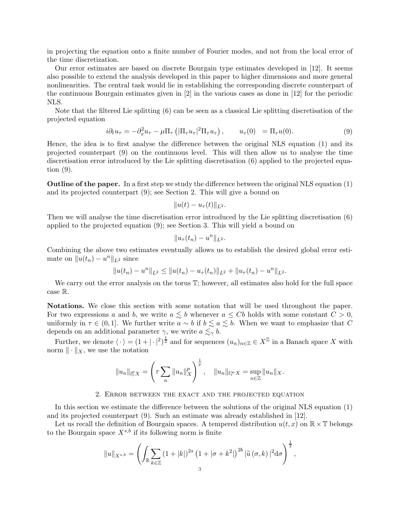in projecting the equation onto a finite number of Fourier modes, and not from the local error of the time discretization.

Our error estimates are based on discrete Bourgain type estimates developed in [\[12\]](#page-11-5). It seems also possible to extend the analysis developed in this paper to higher dimensions and more general nonlinearities. The central task would lie in establishing the corresponding discrete counterpart of the continuous Bourgain estimates given in [\[2\]](#page-11-9) in the various cases as done in [\[12\]](#page-11-5) for the periodic NLS.

Note that the filtered Lie splitting [\(6\)](#page-1-2) can be seen as a classical Lie splitting discretisation of the projected equation

<span id="page-2-0"></span>
$$
i\partial_t u_\tau = -\partial_x^2 u_\tau - \mu \Pi_\tau \left( |\Pi_\tau u_\tau|^2 \Pi_\tau u_\tau \right), \qquad u_\tau(0) = \Pi_\tau u(0). \tag{9}
$$

Hence, the idea is to first analyse the difference between the original NLS equation [\(1\)](#page-0-1) and its projected counterpart [\(9\)](#page-2-0) on the continuous level. This will then allow us to analyse the time discretisation error introduced by the Lie splitting discretisation [\(6\)](#page-1-2) applied to the projected equation [\(9\)](#page-2-0).

Outline of the paper. In a first step we study the difference between the original NLS equation [\(1\)](#page-0-1) and its projected counterpart [\(9\)](#page-2-0); see Section [2.](#page-2-1) This will give a bound on

$$
||u(t)-u_\tau(t)||_{L^2}.
$$

Then we will analyse the time discretisation error introduced by the Lie splitting discretisation [\(6\)](#page-1-2) applied to the projected equation [\(9\)](#page-2-0); see Section [3.](#page-3-0) This will yield a bound on

$$
||u_\tau(t_n)-u^n||_{L^2}.
$$

Combining the above two estimates eventually allows us to establish the desired global error estimate on  $||u(t_n) - u^n||_{L^2}$  since

$$
||u(t_n)-u^n||_{L^2}\leq ||u(t_n)-u_\tau(t_n)||_{L^2}+||u_\tau(t_n)-u^n||_{L^2}.
$$

We carry out the error analysis on the torus  $\mathbb{T}$ ; however, all estimates also hold for the full space case R.

Notations. We close this section with some notation that will be used throughout the paper. For two expressions a and b, we write  $a \leq b$  whenever  $a \leq Cb$  holds with some constant  $C > 0$ , uniformly in  $\tau \in (0,1]$ . We further write  $a \sim b$  if  $b \leq a \leq b$ . When we want to emphasize that C depends on an additional parameter  $\gamma$ , we write  $a \lesssim_{\gamma} b$ .

Further, we denote  $\langle \cdot \rangle = (1 + |\cdot|^2)^{\frac{1}{2}}$  and for sequences  $(u_n)_{n \in \mathbb{Z}} \in X^{\mathbb{Z}}$  in a Banach space X with norm  $\|\cdot\|_X$ , we use the notation

$$
||u_n||_{l^p_\tau X} = \left(\tau \sum_n ||u_n||_X^p\right)^{\frac{1}{p}}, \quad ||u_n||_{l^\infty_\tau X} = \sup_{n \in \mathbb{Z}} ||u_n||_X.
$$

#### 2. Error between the exact and the projected equation

<span id="page-2-1"></span>In this section we estimate the difference between the solutions of the original NLS equation [\(1\)](#page-0-1) and its projected counterpart [\(9\)](#page-2-0). Such an estimate was already established in [\[12\]](#page-11-5).

Let us recall the definition of Bourgain spaces. A tempered distribution  $u(t, x)$  on  $\mathbb{R} \times \mathbb{T}$  belongs to the Bourgain space  $X^{s,b}$  if its following norm is finite

$$
||u||_{X^{s,b}} = \left(\int_{\mathbb{R}} \sum_{k \in \mathbb{Z}} \left(1 + |k|\right)^{2s} \left(1 + |\sigma + k^2|\right)^{2b} |\widetilde{u}(\sigma, k)|^2 d\sigma\right)^{\frac{1}{2}},
$$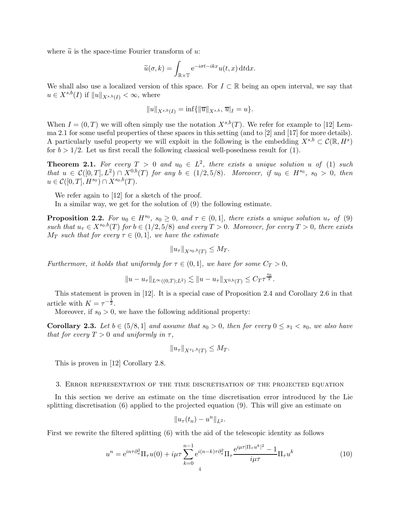where  $\tilde{u}$  is the space-time Fourier transform of u:

$$
\widetilde{u}(\sigma, k) = \int_{\mathbb{R} \times \mathbb{T}} e^{-i\sigma t - ikx} u(t, x) dt dx.
$$

We shall also use a localized version of this space. For  $I \subset \mathbb{R}$  being an open interval, we say that  $u \in X^{s,b}(I)$  if  $||u||_{X^{s,b}(I)} < \infty$ , where

$$
||u||_{X^{s,b}(I)} = \inf{||\overline{u}||_{X^{s,b}}, \overline{u}|_I = u}.
$$

When  $I = (0, T)$  we will often simply use the notation  $X^{s,b}(T)$ . We refer for example to [\[12\]](#page-11-5) Lemma 2.1 for some useful properties of these spaces in this setting (and to [\[2\]](#page-11-9) and [\[17\]](#page-11-10) for more details). A particularly useful property we will exploit in the following is the embedding  $X^{s,b} \subset \mathcal{C}(\mathbb{R}, H^s)$ for  $b > 1/2$ . Let us first recall the following classical well-posedness result for [\(1\)](#page-0-1).

**Theorem 2.1.** For every  $T > 0$  and  $u_0 \in L^2$ , there exists a unique solution u of [\(1\)](#page-0-1) such  $that u \in C([0,T], L^2) \cap X^{0,b}(T)$  *for any*  $b \in (1/2, 5/8)$ *. Moreover, if*  $u_0 \in H^{s_0}$ *,*  $s_0 > 0$ *, then*  $u \in \mathcal{C}([0,T], H^{s_0}) \cap X^{s_0, b}(T)$ .

We refer again to [\[12\]](#page-11-5) for a sketch of the proof.

In a similar way, we get for the solution of [\(9\)](#page-2-0) the following estimate.

<span id="page-3-3"></span>**Proposition 2.2.** For  $u_0 \in H^{s_0}$ ,  $s_0 \geq 0$ , and  $\tau \in (0,1]$ , there exists a unique solution  $u_{\tau}$  of [\(9\)](#page-2-0) *such that*  $u_{\tau} \in X^{s_0,b}(T)$  *for*  $b \in (1/2, 5/8)$  *and every*  $T > 0$ *. Moreover, for every*  $T > 0$ *, there exists*  $M_T$  *such that for every*  $\tau \in (0,1]$ *, we have the estimate* 

$$
||u_{\tau}||_{X^{s_0,b}(T)} \leq M_T.
$$

*Furthermore, it holds that uniformly for*  $\tau \in (0,1]$ *, we have for some*  $C_T > 0$ *,* 

$$
||u - u_{\tau}||_{L^{\infty}((0,T);L^2)} \lesssim ||u - u_{\tau}||_{X^{0,b}(T)} \leq C_T \tau^{\frac{s_0}{2}}.
$$

This statement is proven in [\[12\]](#page-11-5). It is a special case of Proposition 2.4 and Corollary 2.6 in that article with  $K = \tau^{-\frac{1}{2}}$ .

Moreover, if  $s_0 > 0$ , we have the following additional property:

<span id="page-3-2"></span>**Corollary 2.3.** Let  $b \in (5/8, 1]$  and assume that  $s_0 > 0$ , then for every  $0 \leq s_1 < s_0$ , we also have *that for every*  $T > 0$  *and uniformly in*  $\tau$ ,

$$
||u_{\tau}||_{X^{s_1,b}(T)} \le M_T.
$$

This is proven in [\[12\]](#page-11-5) Corollary 2.8.

#### <span id="page-3-0"></span>3. Error representation of the time discretisation of the projected equation

In this section we derive an estimate on the time discretisation error introduced by the Lie splitting discretisation [\(6\)](#page-1-2) applied to the projected equation [\(9\)](#page-2-0). This will give an estimate on

$$
||u_\tau(t_n)-u^n||_{L^2}.
$$

First we rewrite the filtered splitting [\(6\)](#page-1-2) with the aid of the telescopic identity as follows

<span id="page-3-1"></span>
$$
u^{n} = e^{in\tau \partial_{x}^{2}} \Pi_{\tau} u(0) + i\mu \tau \sum_{k=0}^{n-1} e^{i(n-k)\tau \partial_{x}^{2}} \Pi_{\tau} \frac{e^{i\mu \tau |\Pi_{\tau} u^{k}|^{2}} - 1}{i\mu \tau} \Pi_{\tau} u^{k}
$$
(10)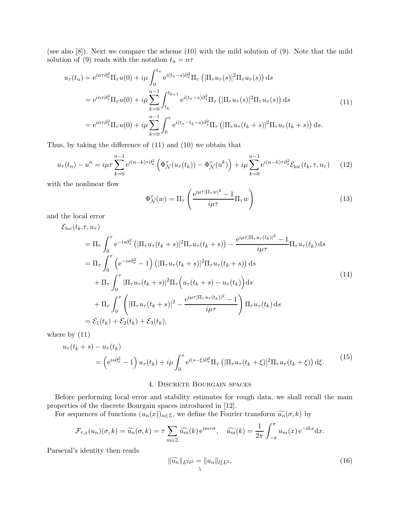(see also [\[8\]](#page-11-2)). Next we compare the scheme [\(10\)](#page-3-1) with the mild solution of [\(9\)](#page-2-0). Note that the mild solution of [\(9\)](#page-2-0) reads with the notation  $t_n = n \tau$ 

<span id="page-4-0"></span>
$$
u_{\tau}(t_n) = e^{in\tau \partial_x^2} \Pi_{\tau} u(0) + i\mu \int_0^{t_n} e^{i(t_n - s)\partial_x^2} \Pi_{\tau} \left( |\Pi_{\tau} u_{\tau}(s)|^2 \Pi_{\tau} u_{\tau}(s) \right) ds
$$
  
\n
$$
= e^{in\tau \partial_x^2} \Pi_{\tau} u(0) + i\mu \sum_{k=0}^{n-1} \int_{t_k}^{t_{k+1}} e^{i(t_n - s)\partial_x^2} \Pi_{\tau} \left( |\Pi_{\tau} u_{\tau}(s)|^2 \Pi_{\tau} u_{\tau}(s) \right) ds
$$
  
\n
$$
= e^{in\tau \partial_x^2} \Pi_{\tau} u(0) + i\mu \sum_{k=0}^{n-1} \int_0^{\tau} e^{i(t_n - t_k - s)\partial_x^2} \Pi_{\tau} \left( |\Pi_{\tau} u_{\tau}(t_k + s)|^2 \Pi_{\tau} u_{\tau}(t_k + s) \right) ds.
$$
\n(11)

Thus, by taking the difference of [\(11\)](#page-4-0) and [\(10\)](#page-3-1) we obtain that

<span id="page-4-1"></span>
$$
u_{\tau}(t_n) - u^n = i\mu\tau \sum_{k=0}^{n-1} e^{i(n-k)\tau \partial_x^2} \left( \Phi_{\mathcal{N}}^{\tau}(u_{\tau}(t_k)) - \Phi_{\mathcal{N}}^{\tau}(u^k) \right) + i\mu \sum_{k=0}^{n-1} e^{i(n-k)\tau \partial_x^2} \mathcal{E}_{\text{loc}}(t_k, \tau, u_{\tau}) \tag{12}
$$

with the nonlinear flow

<span id="page-4-4"></span>
$$
\Phi_{\mathcal{N}}^{\tau}(w) = \Pi_{\tau} \left( \frac{e^{i\mu\tau |\Pi_{\tau}w|^2} - 1}{i\mu\tau} \Pi_{\tau}w \right)
$$
\n(13)

and the local error

<span id="page-4-2"></span>
$$
\mathcal{E}_{\text{loc}}(t_k, \tau, u_{\tau})
$$
\n
$$
= \Pi_{\tau} \int_{0}^{\tau} e^{-is\partial_{x}^{2}} \left( |\Pi_{\tau} u_{\tau}(t_k + s)|^{2} \Pi_{\tau} u_{\tau}(t_k + s) \right) - \frac{e^{i\mu \tau} |\Pi_{\tau} u_{\tau}(t_k)|^{2} - 1}{i\mu \tau} \Pi_{\tau} u_{\tau}(t_k) ds
$$
\n
$$
= \Pi_{\tau} \int_{0}^{\tau} \left( e^{-is\partial_{x}^{2}} - 1 \right) \left( |\Pi_{\tau} u_{\tau}(t_k + s)|^{2} \Pi_{\tau} u_{\tau}(t_k + s) \right) ds
$$
\n
$$
+ \Pi_{\tau} \int_{0}^{\tau} |\Pi_{\tau} u_{\tau}(t_k + s)|^{2} \Pi_{\tau} \left( u_{\tau}(t_k + s) - u_{\tau}(t_k) \right) ds
$$
\n
$$
+ \Pi_{\tau} \int_{0}^{\tau} \left( |\Pi_{\tau} u_{\tau}(t_k + s)|^{2} - \frac{e^{i\mu \tau} |\Pi_{\tau} u_{\tau}(t_k)|^{2} - 1}{i\mu \tau} \right) \Pi_{\tau} u_{\tau}(t_k) ds
$$
\n
$$
= \mathcal{E}_{1}(t_k) + \mathcal{E}_{2}(t_k) + \mathcal{E}_{3}(t_k), \qquad (14)
$$

where by [\(11\)](#page-4-0)

<span id="page-4-3"></span>
$$
u_{\tau}(t_k+s) - u_{\tau}(t_k)
$$
  
= 
$$
\left(e^{is\partial_x^2} - 1\right)u_{\tau}(t_k) + i\mu \int_0^s e^{i(s-\xi)\partial_x^2} \Pi_{\tau} \left(|\Pi_{\tau}u_{\tau}(t_k+\xi)|^2\Pi_{\tau}u_{\tau}(t_k+\xi)\right) d\xi.
$$
 (15)

### 4. Discrete Bourgain spaces

Before performing local error and stability estimates for rough data, we shall recall the main properties of the discrete Bourgain spaces introduced in [\[12\]](#page-11-5).

For sequences of functions  $(u_n(x))_{n\in\mathbb{Z}}$ , we define the Fourier transform  $\widetilde{u_n}(\sigma, k)$  by

$$
\mathcal{F}_{\tau,x}(u_n)(\sigma,k) = \widetilde{u_n}(\sigma,k) = \tau \sum_{m \in \mathbb{Z}} \widehat{u_m}(k) e^{im\tau\sigma}, \quad \widehat{u_m}(k) = \frac{1}{2\pi} \int_{-\pi}^{\pi} u_m(x) e^{-ikx} dx.
$$

Parseval's identity then reads

$$
\|\widetilde{u_n}\|_{L^2 l^2} = \|u_n\|_{l^2_{\tau} L^2},\tag{16}
$$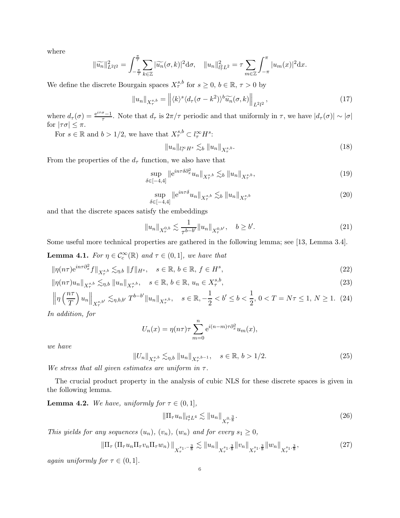where

$$
\|\widetilde{u_n}\|_{L^2 l^2}^2 = \int_{-\frac{\pi}{\tau}}^{\frac{\pi}{\tau}} \sum_{k \in \mathbb{Z}} |\widetilde{u_n}(\sigma, k)|^2 d\sigma, \quad \|u_n\|_{l^2 \ L^2}^2 = \tau \sum_{m \in \mathbb{Z}} \int_{-\pi}^{\pi} |u_m(x)|^2 dx.
$$

We define the discrete Bourgain spaces  $X^{s,b}_{\tau}$  for  $s \geq 0, b \in \mathbb{R}, \tau > 0$  by

$$
||u_n||_{X^{s,b}_{\tau}} = ||\langle k \rangle^s \langle d_{\tau}(\sigma - k^2) \rangle^b \widetilde{u_n}(\sigma, k) ||_{L^2 l^2}, \qquad (17)
$$

where  $d_{\tau}(\sigma) = \frac{e^{i\tau\sigma}-1}{\tau}$  $\frac{\sigma-1}{\tau}$ . Note that  $d_{\tau}$  is  $2\pi/\tau$  periodic and that uniformly in  $\tau$ , we have  $|d_{\tau}(\sigma)| \sim |\sigma|$ for  $|\tau\sigma| \leq \pi$ .

For  $s \in \mathbb{R}$  and  $b > 1/2$ , we have that  $X^{s,b}_{\tau} \subset l^{\infty}_{\tau} H^s$ :

<span id="page-5-6"></span>
$$
||u_n||_{l^{\infty}_\tau} H^s \lesssim_b ||u_n||_{X^{s,b}_{\tau}}.
$$
\n
$$
(18)
$$

From the properties of the  $d_{\tau}$  function, we also have that

<span id="page-5-4"></span>
$$
\sup_{\delta \in [-4,4]} \|e^{in\tau \delta \partial_x^2} u_n\|_{X^{s,b}_{\tau}} \lesssim_b \|u_n\|_{X^{s,b}_{\tau}},
$$
\n(19)

$$
\sup_{\delta \in [-4,4]} \|e^{in\tau\delta} u_n\|_{X^{s,b}_{\tau}} \lesssim_b \|u_n\|_{X^{s,b}_{\tau}}
$$
\n(20)

and that the discrete spaces satisfy the embeddings

<span id="page-5-5"></span>
$$
||u_n||_{X^{0,b}_{\tau}} \lesssim \frac{1}{\tau^{b-b'}} ||u_n||_{X^{0,b'}_{\tau}}, \quad b \ge b'.
$$
 (21)

Some useful more technical properties are gathered in the following lemma; see [\[13,](#page-11-8) Lemma 3.4].

<span id="page-5-7"></span>**Lemma 4.1.** *For*  $\eta \in C_c^{\infty}(\mathbb{R})$  *and*  $\tau \in (0,1]$ *, we have that* 

$$
\|\eta(n\tau)e^{in\tau\partial_x^2}f\|_{X^{s,b}_\tau} \lesssim_{\eta,b} \|f\|_{H^s}, \quad s \in \mathbb{R}, \, b \in \mathbb{R}, \, f \in H^s,
$$
\n
$$
(22)
$$

$$
\|\eta(n\tau)u_n\|_{X^{s,b}_{\tau}} \lesssim_{\eta,b} \|u_n\|_{X^{s,b}_{\tau}}, \quad s \in \mathbb{R}, b \in \mathbb{R}, u_n \in X^{s,b}_{\tau},
$$
\n(23)

$$
\left\|\eta\left(\frac{n\tau}{T}\right)u_n\right\|_{X^{s,b'}_{\tau}} \lesssim_{\eta,b,b'} T^{b-b'} \|u_n\|_{X^{s,b}_{\tau}}, \quad s \in \mathbb{R}, -\frac{1}{2} < b' \le b < \frac{1}{2}, \ 0 < T = N\tau \le 1, \ N \ge 1. \tag{24}
$$

*In addition, for*

<span id="page-5-8"></span>
$$
U_n(x) = \eta(n\tau)\tau \sum_{m=0}^n e^{i(n-m)\tau \partial_x^2} u_m(x),
$$

*we have*

<span id="page-5-2"></span>
$$
||U_n||_{X^{s,b}_{\tau}} \lesssim_{\eta,b} ||u_n||_{X^{s,b-1}_{\tau}}, \quad s \in \mathbb{R}, \ b > 1/2.
$$
 (25)

*We stress that all given estimates are uniform in*  $\tau$ *.* 

The crucial product property in the analysis of cubic NLS for these discrete spaces is given in the following lemma.

<span id="page-5-3"></span>**Lemma 4.2.** *We have, uniformly for*  $\tau \in (0,1]$ *,* 

<span id="page-5-0"></span>
$$
\|\Pi_{\tau}u_n\|_{l^4_{\tau}L^4} \lesssim \|u_n\|_{X^{0,\frac{3}{8}}_{\tau}}.
$$
\n(26)

*This yields for any sequences*  $(u_n)$ *,*  $(v_n)$ *,*  $(w_n)$  *and for every*  $s_1 \geq 0$ *,* 

<span id="page-5-1"></span>
$$
\left\|\Pi_{\tau}\left(\Pi_{\tau}u_{n}\Pi_{\tau}v_{n}\Pi_{\tau}w_{n}\right)\right\|_{X_{\tau}^{s_{1},-\frac{3}{8}}}\lesssim\|u_{n}\|_{X_{\tau}^{s_{1},\frac{3}{8}}}\|v_{n}\|_{X_{\tau}^{s_{1},\frac{3}{8}}}\|w_{n}\|_{X_{\tau}^{s_{1},\frac{3}{8}}},\tag{27}
$$

*again uniformly for*  $\tau \in (0, 1]$ *.*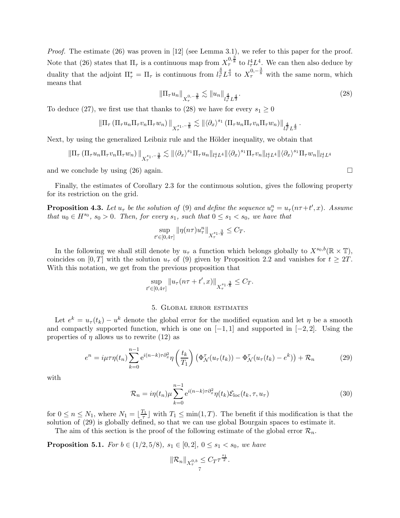*Proof.* The estimate [\(26\)](#page-5-0) was proven in [\[12\]](#page-11-5) (see Lemma 3.1), we refer to this paper for the proof. Note that [\(26\)](#page-5-0) states that  $\Pi_{\tau}$  is a continuous map from  $X_{\tau}^{0,\frac{3}{8}}$  to  $l_{\tau}^4 L^4$ . We can then also deduce by duality that the adjoint  $\Pi^*_{\tau} = \Pi_{\tau}$  is continuous from  $l^{\frac{4}{3}} \mathcal{L}^{\frac{4}{3}}$  to  $X_{\tau}^{0,-\frac{3}{8}}$  with the same norm, which means that

<span id="page-6-0"></span>
$$
\|\Pi_{\tau}u_n\|_{X^{0,-\frac{3}{8}}_{\tau}} \lesssim \|u_n\|_{l^{\frac{4}{3}}_{\tau}L^{\frac{4}{3}}}.\tag{28}
$$

To deduce [\(27\)](#page-5-1), we first use that thanks to [\(28\)](#page-6-0) we have for every  $s_1 \geq 0$ 

$$
\|\Pi_\tau \left( \Pi_\tau u_n \Pi_\tau v_n \Pi_\tau w_n \right)\|_{X_\tau^{s_1,-\frac{3}{8}}} \lesssim \| \langle \partial_x \rangle^{s_1} \left( \Pi_\tau u_n \Pi_\tau v_n \Pi_\tau w_n \right)\|_{l_\tau^{\frac{4}{3}} L^{\frac{4}{3}}}.
$$

Next, by using the generalized Leibniz rule and the Hölder inequality, we obtain that

$$
\|\Pi_{\tau} (\Pi_{\tau} u_n \Pi_{\tau} v_n \Pi_{\tau} w_n) \|_{X_{\tau}^{s_1,-\frac{3}{8}}} \lesssim \| \langle \partial_x \rangle^{s_1} \Pi_{\tau} u_n \|_{l_{\tau}^4 L^4} \| \langle \partial_x \rangle^{s_1} \Pi_{\tau} v_n \|_{l_{\tau}^4 L^4} \| \langle \partial_x \rangle^{s_1} \Pi_{\tau} w_n \|_{l_{\tau}^4 L^4}
$$

and we conclude by using  $(26)$  again.

Finally, the estimates of Corollary [2.3](#page-3-2) for the continuous solution, gives the following property for its restriction on the grid.

<span id="page-6-2"></span>**Proposition 4.3.** Let  $u_{\tau}$  be the solution of [\(9\)](#page-2-0) and define the sequence  $u_{\tau}^n = u_{\tau}(n\tau + t', x)$ . Assume *that*  $u_0 \in H^{s_0}$ ,  $s_0 > 0$ . Then, for every  $s_1$ , such that  $0 \leq s_1 < s_0$ , we have that

$$
\sup_{t' \in [0,4\tau]} \|\eta(n\tau)u_{\tau}^n\|_{X_{\tau}^{s_1,\frac{3}{8}}} \leq C_T.
$$

In the following we shall still denote by  $u_{\tau}$  a function which belongs globally to  $X^{s_0,b}(\mathbb{R} \times \mathbb{T})$ , coincides on [0, T] with the solution  $u_{\tau}$  of [\(9\)](#page-2-0) given by Proposition [2.2](#page-3-3) and vanishes for  $t \geq 2T$ . With this notation, we get from the previous proposition that

$$
\sup_{t' \in [0,4\tau]} \|u_\tau(n\tau + t',x)\|_{X^{s_1,\frac{3}{8}}_\tau} \leq C_T.
$$

### 5. Global error estimates

Let  $e^{k} = u_{\tau}(t_{k}) - u^{k}$  denote the global error for the modified equation and let  $\eta$  be a smooth and compactly supported function, which is one on  $[-1, 1]$  and supported in  $[-2, 2]$ . Using the properties of  $\eta$  allows us to rewrite [\(12\)](#page-4-1) as

<span id="page-6-1"></span>
$$
e^{n} = i\mu\tau\eta(t_n) \sum_{k=0}^{n-1} e^{i(n-k)\tau \partial_x^2} \eta\left(\frac{t_k}{T_1}\right) \left(\Phi_{\mathcal{N}}^{\tau}(u_{\tau}(t_k)) - \Phi_{\mathcal{N}}^{\tau}(u_{\tau}(t_k) - e^k)\right) + \mathcal{R}_n
$$
\n(29)

with

$$
\mathcal{R}_n = i\eta(t_n)\mu \sum_{k=0}^{n-1} e^{i(n-k)\tau \partial_x^2} \eta(t_k) \mathcal{E}_{\text{loc}}(t_k, \tau, u_\tau)
$$
\n(30)

for  $0 \leq n \leq N_1$ , where  $N_1 = \lfloor \frac{T_1}{\tau} \rfloor$  $T_1 \leq \min(1, T)$ . The benefit if this modification is that the solution of [\(29\)](#page-6-1) is globally defined, so that we can use global Bourgain spaces to estimate it.

The aim of this section is the proof of the following estimate of the global error  $\mathcal{R}_n$ .

<span id="page-6-3"></span>**Proposition 5.1.** *For*  $b \in (1/2, 5/8)$ *,*  $s_1 \in [0, 2]$ *,*  $0 \leq s_1 < s_0$ *, we have* 

$$
\|\mathcal{R}_n\|_{X^{0,b}_{\tau}} \leq C_T \tau^{\frac{s_1}{2}}.
$$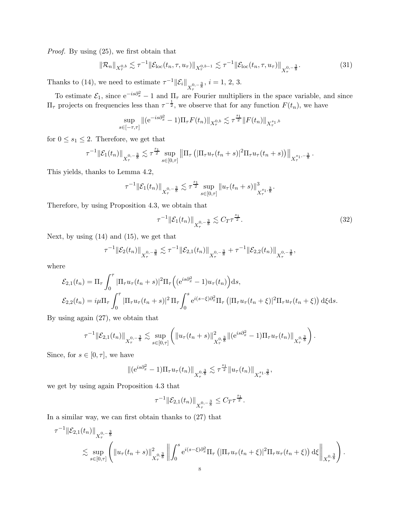*Proof.* By using [\(25\)](#page-5-2), we first obtain that

<span id="page-7-0"></span>
$$
\|\mathcal{R}_n\|_{X^{0,b}_{\tau}} \lesssim \tau^{-1} \|\mathcal{E}_{\text{loc}}(t_n, \tau, u_\tau)\|_{X^{0,b-1}_{\tau}} \lesssim \tau^{-1} \|\mathcal{E}_{\text{loc}}(t_n, \tau, u_\tau)\|_{X^{0,-\frac{3}{8}}_{\tau}}.
$$
 (31)

Thanks to [\(14\)](#page-4-2), we need to estimate  $\tau^{-1} \|\mathcal{E}_i\|_{X^{0,-\frac{3}{8}}_\tau}$ ,  $i = 1, 2, 3$ .

To estimate  $\mathcal{E}_1$ , since  $e^{-is\partial_x^2} - 1$  and  $\Pi_\tau$  are Fourier multipliers in the space variable, and since  $\Pi_{\tau}$  projects on frequencies less than  $\tau^{-\frac{1}{2}}$ , we observe that for any function  $F(t_n)$ , we have

$$
\sup_{s \in [-\tau,\tau]} \| (e^{-is\partial_x^2} - 1) \Pi_\tau F(t_n) \|_{X^{0,b}_\tau} \lesssim \tau^{\frac{s_1}{2}} \| F(t_n) \|_{X^{s_1,b}_\tau}
$$

for  $0 \leq s_1 \leq 2$ . Therefore, we get that

$$
\tau^{-1} \|\mathcal{E}_1(t_n)\|_{X^{0,-\frac{3}{8}}_\tau} \lesssim \tau^{\frac{s_1}{2}} \sup_{s \in [0,\tau]} \left\| \Pi_\tau \left( |\Pi_\tau u_\tau(t_n+s)|^2 \Pi_\tau u_\tau(t_n+s) \right) \right\|_{X^{s_1,-\frac{3}{8}}_\tau}.
$$

This yields, thanks to Lemma [4.2,](#page-5-3)

$$
\tau^{-1} \|\mathcal{E}_1(t_n)\|_{X^{0,-\frac{3}{8}}_\tau} \lesssim \tau^{\frac{s_1}{2}} \sup_{s \in [0,\tau]} \|u_\tau(t_n+s)\|_{X^{s_1,\frac{3}{8}}_\tau}^3.
$$

Therefore, by using Proposition [4.3,](#page-6-2) we obtain that

<span id="page-7-1"></span>
$$
\tau^{-1} \|\mathcal{E}_1(t_n)\|_{X^{0,-\frac{3}{8}}_{\tau}} \lesssim C_T \tau^{\frac{s_1}{2}}.
$$
\n(32)

Next, by using  $(14)$  and  $(15)$ , we get that

$$
\tau^{-1} \|\mathcal{E}_2(t_n)\|_{X^{0,-\frac{3}{8}}_\tau} \lesssim \tau^{-1} \|\mathcal{E}_{2,1}(t_n)\|_{X^{0,-\frac{3}{8}}_\tau} + \tau^{-1} \|\mathcal{E}_{2,2}(t_n)\|_{X^{0,-\frac{3}{8}}_\tau},
$$

where

$$
\mathcal{E}_{2,1}(t_n) = \Pi_{\tau} \int_0^{\tau} |\Pi_{\tau} u_{\tau}(t_n + s)|^2 \Pi_{\tau} \left( (e^{is\partial_x^2} - 1) u_{\tau}(t_n) \right) ds,
$$
  

$$
\mathcal{E}_{2,2}(t_n) = i\mu \Pi_{\tau} \int_0^{\tau} |\Pi_{\tau} u_{\tau}(t_n + s)|^2 \Pi_{\tau} \int_0^s e^{i(s-\xi)\partial_x^2} \Pi_{\tau} \left( |\Pi_{\tau} u_{\tau}(t_n + \xi)|^2 \Pi_{\tau} u_{\tau}(t_n + \xi) \right) d\xi ds.
$$

By using again [\(27\)](#page-5-1), we obtain that

$$
\tau^{-1} \|\mathcal{E}_{2,1}(t_n)\|_{X^{0,-\frac{3}{8}}_{\tau}} \lesssim \sup_{s \in [0,\tau]} \left( \|u_{\tau}(t_n+s)\|_{X^{0,\frac{3}{8}}_{\tau}}^2 \| (e^{is\partial_x^2} - 1) \Pi_{\tau} u_{\tau}(t_n) \|_{X^{0,\frac{3}{8}}_{\tau}} \right).
$$

Since, for  $s \in [0, \tau]$ , we have

$$
\| (e^{is\partial_x^2} - 1) \Pi_\tau u_\tau(t_n) \|_{X_\tau^{0, \frac{3}{8}}} \lesssim \tau^{\frac{s_1}{2}} \| u_\tau(t_n) \|_{X_\tau^{s_1, \frac{3}{8}}},
$$

we get by using again Proposition [4.3](#page-6-2) that

$$
\tau^{-1} \|\mathcal{E}_{2,1}(t_n)\|_{X^{0,-\frac{3}{8}}_\tau} \leq C_T \tau^{\frac{s_1}{2}}.
$$

In a similar way, we can first obtain thanks to [\(27\)](#page-5-1) that

$$
\tau^{-1} \|\mathcal{E}_{2,1}(t_n)\|_{X^{0,-\frac{3}{8}}_{\tau}}\n\lesssim \sup_{s\in[0,\tau]}\left(\|u_{\tau}(t_n+s)\|_{X^{0,\frac{3}{8}}_{\tau}}^2\left\|\int_0^s e^{i(s-\xi)\partial_x^2}\Pi_{\tau}\left(|\Pi_{\tau}u_{\tau}(t_n+\xi)|^2\Pi_{\tau}u_{\tau}(t_n+\xi)\right) \mathrm{d}\xi\right\|_{X^{0,\frac{3}{8}}_{\tau}}\right).
$$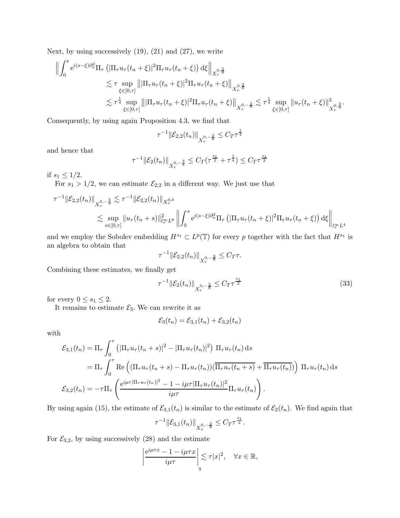Next, by using successively  $(19)$ ,  $(21)$  and  $(27)$ , we write

$$
\begin{split} \left\| \int_{0}^{s} e^{i(s-\xi)\partial_{x}^{2}} \Pi_{\tau} \left( |\Pi_{\tau} u_{\tau}(t_{n}+\xi)|^{2} \Pi_{\tau} u_{\tau}(t_{n}+\xi) \right) d\xi \right\|_{X_{\tau}^{0,\frac{3}{8}}} \\ &\lesssim \tau \sup_{\xi \in [0,\tau]} \left\| |\Pi_{\tau} u_{\tau}(t_{n}+\xi)|^{2} \Pi_{\tau} u_{\tau}(t_{n}+\xi) \right\|_{X_{\tau}^{0,\frac{3}{8}}} \\ &\lesssim \tau^{\frac{1}{4}} \sup_{\xi \in [0,\tau]} \left\| |\Pi_{\tau} u_{\tau}(t_{n}+\xi)|^{2} \Pi_{\tau} u_{\tau}(t_{n}+\xi) \right\|_{X_{\tau}^{0,-\frac{3}{8}}} \lesssim \tau^{\frac{1}{4}} \sup_{\xi \in [0,\tau]} \left\| u_{\tau}(t_{n}+\xi) \right\|_{X_{\tau}^{0,\frac{3}{8}}}^{3} . \end{split}
$$

Consequently, by using again Proposition [4.3,](#page-6-2) we find that

$$
\tau^{-1} \|\mathcal{E}_{2,2}(t_n)\|_{X^{0,-\frac{3}{8}}_\tau} \le C_T \tau^{\frac{1}{4}}
$$

and hence that

$$
\tau^{-1} \|\mathcal{E}_2(t_n)\|_{X^{0,-\frac{3}{8}}_\tau} \le C_T(\tau^{\frac{s_1}{2}} + \tau^{\frac{1}{4}}) \le C_T \tau^{\frac{s_1}{2}}
$$

if  $s_1 \leq 1/2$ .

For  $s_1 > 1/2$ , we can estimate  $\mathcal{E}_{2,2}$  in a different way. We just use that

$$
\tau^{-1} \|\mathcal{E}_{2,2}(t_n)\|_{X_{\tau}^{0,-\frac{3}{8}}} \lesssim \tau^{-1} \|\mathcal{E}_{2,2}(t_n)\|_{X_{\tau}^{0,0}} \leq \sup_{s \in [0,\tau]} \|u_\tau(t_n+s)\|_{L_\tau^\infty L^8}^2 \left\| \int_0^s e^{i(s-\xi)\partial_x^2} \Pi_\tau \left( |\Pi_\tau u_\tau(t_n+\xi)|^2 \Pi_\tau u_\tau(t_n+\xi) \right) d\xi \right\|_{L_\tau^\infty L^4}
$$

and we employ the Sobolev embedding  $H^{s_1} \subset L^p(\mathbb{T})$  for every p together with the fact that  $H^{s_1}$  is an algebra to obtain that

$$
\tau^{-1} \|\mathcal{E}_{2,2}(t_n)\|_{X^{0,-\frac{3}{8}}_{\tau}} \leq C_T \tau.
$$

Combining these estimates, we finally get

<span id="page-8-0"></span>
$$
\tau^{-1} \|\mathcal{E}_2(t_n)\|_{X_\tau^{0,-\frac{3}{8}}} \le C_T \tau^{\frac{s_1}{2}}
$$
\n(33)

for every  $0 \leq s_1 \leq 2$ .

It remains to estimate  $\mathcal{E}_3$ . We can rewrite it as

$$
\mathcal{E}_3(t_n) = \mathcal{E}_{3,1}(t_n) + \mathcal{E}_{3,2}(t_n)
$$

with

$$
\mathcal{E}_{3,1}(t_n) = \Pi_{\tau} \int_0^{\tau} \left( |\Pi_{\tau} u_{\tau}(t_n + s)|^2 - |\Pi_{\tau} u_{\tau}(t_n)|^2 \right) \Pi_{\tau} u_{\tau}(t_n) ds
$$
  
\n
$$
= \Pi_{\tau} \int_0^{\tau} \text{Re}\left( (\Pi_{\tau} u_{\tau}(t_n + s) - \Pi_{\tau} u_{\tau}(t_n)) (\overline{\Pi_{\tau} u_{\tau}(t_n + s)} + \overline{\Pi_{\tau} u_{\tau}(t_n)}) \right) \Pi_{\tau} u_{\tau}(t_n) ds
$$
  
\n
$$
\mathcal{E}_{3,2}(t_n) = -\tau \Pi_{\tau} \left( \frac{e^{i\mu \tau |\Pi_{\tau} u_{\tau}(t_n)|^2} - 1 - i\mu \tau |\Pi_{\tau} u_{\tau}(t_n)|^2}{i\mu \tau} \Pi_{\tau} u_{\tau}(t_n) \right).
$$

By using again [\(15\)](#page-4-3), the estimate of  $\mathcal{E}_{3,1}(t_n)$  is similar to the estimate of  $\mathcal{E}_2(t_n)$ . We find again that

$$
\tau^{-1} \|\mathcal{E}_{3,1}(t_n)\|_{X^{0,-\frac{3}{8}}_T} \leq C_T \tau^{\frac{s_1}{2}}.
$$

For  $\mathcal{E}_{3,2}$ , by using successively [\(28\)](#page-6-0) and the estimate

$$
\left|\frac{e^{i\mu\tau x} - 1 - i\mu\tau x}{i\mu\tau}\right| \lesssim \tau |x|^2, \quad \forall x \in \mathbb{R},
$$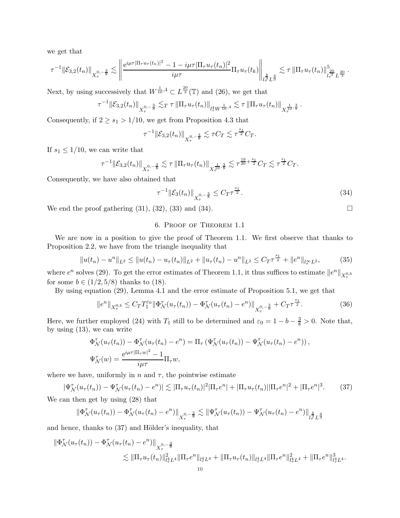we get that

$$
\tau^{-1} \|\mathcal{E}_{3,2}(t_n)\|_{X^{0,-\frac{3}{8}}_{\tau}} \lesssim \left\|\frac{\mathrm{e}^{i\mu \tau |\Pi_\tau u_\tau(t_n)|^2}-1-i\mu \tau |\Pi_\tau u_\tau(t_n)|^2}{i\mu \tau} \Pi_\tau u_\tau(t_k)\right\|_{l^{\frac{4}{3}}_\tau L^{\frac{4}{3}}} \lesssim \tau \|\Pi_\tau u_\tau(t_n)\|_{l^{\frac{20}{3}}_\tau L^{\frac{20}{3}}}^5.
$$

Next, by using successively that  $W^{\frac{1}{10},4} \subset L^{\frac{20}{3}}(\mathbb{T})$  and  $(26)$ , we get that

$$
\tau^{-1} \|\mathcal{E}_{3,2}(t_n)\|_{X^{0,-\frac{3}{8}}_{\tau}} \lesssim_T \tau \|\Pi_{\tau} u_{\tau}(t_n)\|_{l^4_{\tau} W^{\frac{1}{10},4}} \lesssim \tau \|\Pi_{\tau} u_{\tau}(t_n)\|_{X^{\frac{1}{10},\frac{3}{8}}_{\tau}}.
$$

Consequently, if  $2 \geq s_1 > 1/10$ , we get from Proposition [4.3](#page-6-2) that

$$
\tau^{-1} \|\mathcal{E}_{3,2}(t_n)\|_{X^{0,-\frac{3}{8}}_{\tau}} \lesssim \tau C_T \lesssim \tau^{\frac{s_1}{2}} C_T.
$$

If  $s_1 \leq 1/10$ , we can write that

$$
\tau^{-1} \|\mathcal{E}_{3,2}(t_n)\|_{X^{0,-\frac{3}{8}}_\tau} \lesssim \tau \|\Pi_\tau u_\tau(t_n)\|_{X^{\frac{1}{10},\frac{3}{8}}_\tau} \lesssim \tau^{\frac{19}{20}+\frac{s_1}{2}} C_T \lesssim \tau^{\frac{s_1}{2}} C_T.
$$

Consequently, we have also obtained that

<span id="page-9-0"></span>
$$
\tau^{-1} \|\mathcal{E}_3(t_n)\|_{X^{0,-\frac{3}{8}}_\tau} \le C_T \tau^{\frac{s_1}{2}}.
$$
\n(34)

We end the proof gathering  $(31)$ ,  $(32)$ ,  $(33)$  and  $(34)$ .

# 6. Proof of Theorem [1.1](#page-1-3)

We are now in a position to give the proof of Theorem [1.1.](#page-1-3) We first observe that thanks to Proposition [2.2,](#page-3-3) we have from the triangle inequality that

$$
||u(t_n) - u^n||_{L^2} \le ||u(t_n) - u_\tau(t_n)||_{L^2} + ||u_\tau(t_n) - u^n||_{L^2} \le C_T \tau^{\frac{s_1}{2}} + ||e^n||_{l_\tau^\infty L^2},
$$
 (35)

where  $e^n$  solves [\(29\)](#page-6-1). To get the error estimates of Theorem [1.1,](#page-1-3) it thus suffices to estimate  $||e^n||_{X^{0,b}_{\tau}}$ for some  $b \in (1/2, 5/8)$  thanks to [\(18\)](#page-5-6).

By using equation [\(29\)](#page-6-1), Lemma [4.1](#page-5-7) and the error estimate of Proposition [5.1,](#page-6-3) we get that

<span id="page-9-2"></span>
$$
||e^n||_{X^{0,b}_{\tau}} \leq C_T T_1^{\varepsilon_0} ||\Phi_N^{\tau}(u_\tau(t_n)) - \Phi_N^{\tau}(u_\tau(t_n) - e^n)||_{X^{0,-\frac{3}{8}}_{\tau}} + C_T \tau^{\frac{s_1}{2}}.
$$
 (36)

Here, we further employed [\(24\)](#page-5-8) with  $T_1$  still to be determined and  $\varepsilon_0 = 1 - b - \frac{3}{8} > 0$ . Note that, by using [\(13\)](#page-4-4), we can write

$$
\Phi_{\mathcal{N}}^{\tau}(u_{\tau}(t_n)) - \Phi_{\mathcal{N}}^{\tau}(u_{\tau}(t_n) - e^n) = \Pi_{\tau} \left( \Psi_{\mathcal{N}}^{\tau}(u_{\tau}(t_n)) - \Psi_{\mathcal{N}}^{\tau}(u_{\tau}(t_n) - e^n) \right),
$$
  

$$
\Psi_{\mathcal{N}}^{\tau}(w) = \frac{e^{i\mu\tau|\Pi_{\tau}w|^2} - 1}{i\mu\tau} \Pi_{\tau}w,
$$

where we have, uniformly in n and  $\tau$ , the pointwise estimate

<span id="page-9-1"></span>
$$
|\Psi^{\tau}_{\mathcal{N}}(u_{\tau}(t_n)) - \Psi^{\tau}_{\mathcal{N}}(u_{\tau}(t_n) - e^n)| \lesssim |\Pi_{\tau}u_{\tau}(t_n)|^2 |\Pi_{\tau}e^n| + |\Pi_{\tau}u_{\tau}(t_n)||\Pi_{\tau}e^n|^2 + |\Pi_{\tau}e^n|^3. \tag{37}
$$

We can then get by using [\(28\)](#page-6-0) that

$$
\|\Phi^{\tau}_{\mathcal{N}}(u_{\tau}(t_n)) - \Phi^{\tau}_{\mathcal{N}}(u_{\tau}(t_n) - e^n)\|_{X^{0,-\frac{3}{8}}_{\tau}} \lesssim \|\Psi^{\tau}_{\mathcal{N}}(u_{\tau}(t_n)) - \Psi^{\tau}_{\mathcal{N}}(u_{\tau}(t_n) - e^n)\|_{L^{\frac{4}{7}}_{\tau}L^{\frac{4}{3}}}
$$

and hence, thanks to  $(37)$  and Hölder's inequality, that

$$
\|\Phi^{\tau}_{\mathcal{N}}(u_{\tau}(t_n)) - \Phi^{\tau}_{\mathcal{N}}(u_{\tau}(t_n) - e^n)\|_{X^{0,-\frac{3}{8}}_{\tau}}\n\lesssim \|\Pi_{\tau}u_{\tau}(t_n)\|_{l^4_{\tau}L^4}^2 \|\Pi_{\tau}e^n\|_{l^4_{\tau}L^4} + \|\Pi_{\tau}u_{\tau}(t_n)\|_{l^4_{\tau}L^4} \|\Pi_{\tau}e^n\|_{l^4_{\tau}L^4}^2 + \|\Pi_{\tau}e^n\|_{l^4_{\tau}L^4}^3.
$$

$$
\Box
$$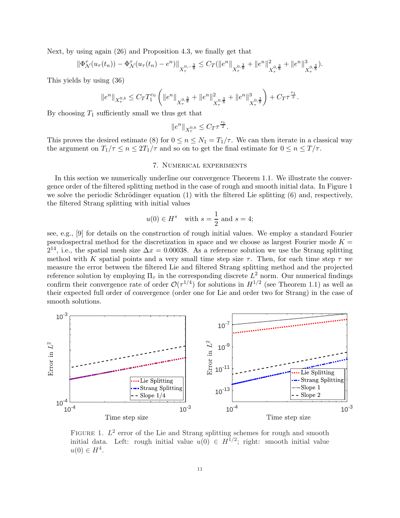Next, by using again [\(26\)](#page-5-0) and Proposition [4.3,](#page-6-2) we finally get that

$$
\|\Phi^{\tau}_{\mathcal{N}}(u_{\tau}(t_n)) - \Phi^{\tau}_{\mathcal{N}}(u_{\tau}(t_n) - e^n)\|_{X^{0,-\frac{3}{8}}_{\tau}} \leq C_T(\|e^n\|_{X^{0,\frac{3}{8}}_{\tau}} + \|e^n\|_{X^{0,\frac{3}{8}}_{\tau}}^2 + \|e^n\|_{X^{0,\frac{3}{8}}_{\tau}}^3).
$$

This yields by using [\(36\)](#page-9-2)

$$
\|e^n\|_{X^{0,b}_\tau}\leq C_T T_1^{\varepsilon_0}\left(\|e^n\|_{X^{0,\frac{3}{8}}_\tau}+\|e^n\|_{X^{0,\frac{3}{8}}_\tau}^2+\|e^n\|_{X^{0,\frac{3}{8}}_\tau}^3\right)+C_T\tau^{\frac{s_1}{2}}.
$$

By choosing  $T_1$  sufficiently small we thus get that

$$
\|e^n\|_{X^{0,b}_\tau}\leq C_T \tau^{\frac{s_1}{2}}.
$$

This proves the desired estimate [\(8\)](#page-1-4) for  $0 \le n \le N_1 = T_1/\tau$ . We can then iterate in a classical way the argument on  $T_1/\tau \leq n \leq 2T_1/\tau$  and so on to get the final estimate for  $0 \leq n \leq T/\tau$ .

## 7. Numerical experiments

In this section we numerically underline our convergence Theorem [1.1.](#page-1-3) We illustrate the convergence order of the filtered splitting method in the case of rough and smooth initial data. In Figure [1](#page-10-0) we solve the periodic Schrödinger equation  $(1)$  with the filtered Lie splitting  $(6)$  and, respectively, the filtered Strang splitting with initial values

$$
u(0) \in H^s \quad \text{with } s = \frac{1}{2} \text{ and } s = 4;
$$

see, e.g., [\[9\]](#page-11-11) for details on the construction of rough initial values. We employ a standard Fourier pseudospectral method for the discretization in space and we choose as largest Fourier mode  $K =$  $2^{14}$ , i.e., the spatial mesh size  $\Delta x = 0.00038$ . As a reference solution we use the Strang splitting method with K spatial points and a very small time step size  $\tau$ . Then, for each time step  $\tau$  we measure the error between the filtered Lie and filtered Strang splitting method and the projected reference solution by employing  $\Pi_{\tau}$  in the corresponding discrete  $L^2$  norm. Our numerical findings confirm their convergence rate of order  $\mathcal{O}(\tau^{1/4})$  for solutions in  $H^{1/2}$  (see Theorem [1.1\)](#page-1-3) as well as their expected full order of convergence (order one for Lie and order two for Strang) in the case of smooth solutions.



<span id="page-10-0"></span>FIGURE 1.  $L^2$  error of the Lie and Strang splitting schemes for rough and smooth initial data. Left: rough initial value  $u(0) \in H^{1/2}$ ; right: smooth initial value  $u(0) \in H^4$ .